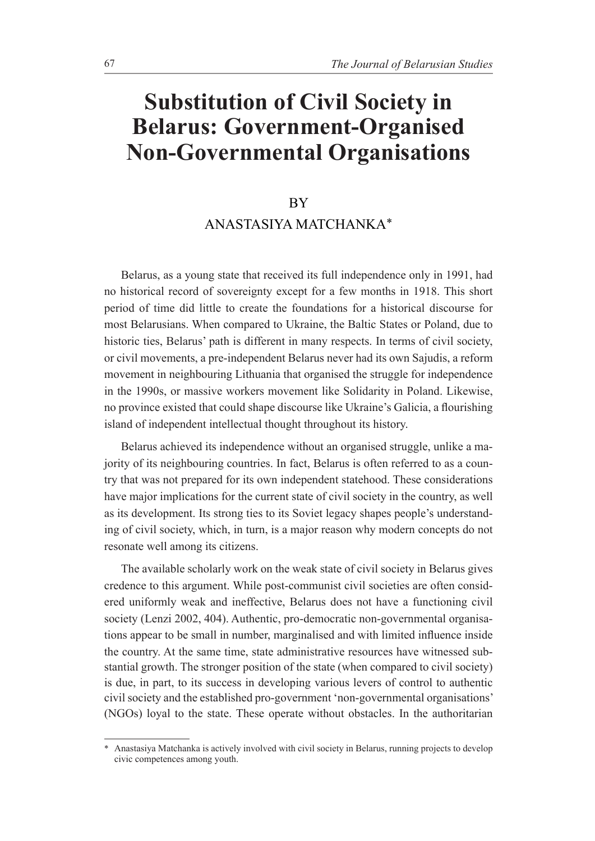# **Substitution of Civil Society in Belarus: Government-Organised Non-Governmental Organisations**

## **BY**

## ANASTASIYA MATCHANKA\*

Belarus, as a young state that received its full independence only in 1991, had no historical record of sovereignty except for a few months in 1918. This short period of time did little to create the foundations for a historical discourse for most Belarusians. When compared to Ukraine, the Baltic States or Poland, due to historic ties, Belarus' path is different in many respects. In terms of civil society, or civil movements, a pre-independent Belarus never had its own Sajudis, a reform movement in neighbouring Lithuania that organised the struggle for independence in the 1990s, or massive workers movement like Solidarity in Poland. Likewise, no province existed that could shape discourse like Ukraine's Galicia, a flourishing island of independent intellectual thought throughout its history.

Belarus achieved its independence without an organised struggle, unlike a majority of its neighbouring countries. In fact, Belarus is often referred to as a country that was not prepared for its own independent statehood. These considerations have major implications for the current state of civil society in the country, as well as its development. Its strong ties to its Soviet legacy shapes people's understanding of civil society, which, in turn, is a major reason why modern concepts do not resonate well among its citizens.

The available scholarly work on the weak state of civil society in Belarus gives credence to this argument. While post-communist civil societies are often considered uniformly weak and ineffective, Belarus does not have a functioning civil society (Lenzi 2002, 404). Authentic, pro-democratic non-governmental organisations appear to be small in number, marginalised and with limited influence inside the country. At the same time, state administrative resources have witnessed substantial growth. The stronger position of the state (when compared to civil society) is due, in part, to its success in developing various levers of control to authentic civil society and the established pro-government 'non-governmental organisations' (NGOs) loyal to the state. These operate without obstacles. In the authoritarian

Anastasiya Matchanka is actively involved with civil society in Belarus, running projects to develop civic competences among youth.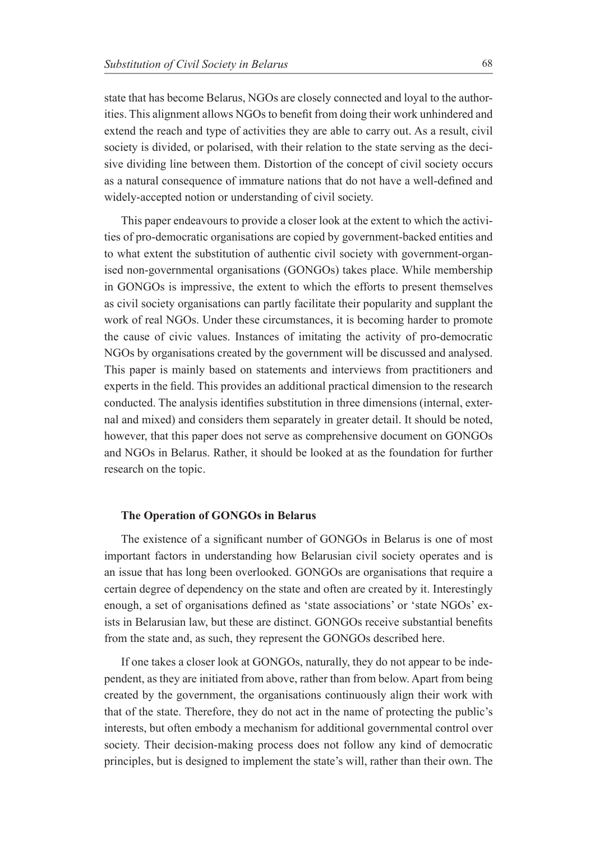state that has become Belarus, NGOs are closely connected and loyal to the authorities. This alignment allows NGOs to benefit from doing their work unhindered and extend the reach and type of activities they are able to carry out. As a result, civil society is divided, or polarised, with their relation to the state serving as the decisive dividing line between them. Distortion of the concept of civil society occurs as a natural consequence of immature nations that do not have a well-defined and widely-accepted notion or understanding of civil society.

This paper endeavours to provide a closer look at the extent to which the activities of pro-democratic organisations are copied by government-backed entities and to what extent the substitution of authentic civil society with government-organised non-governmental organisations (GONGOs) takes place. While membership in GONGOs is impressive, the extent to which the efforts to present themselves as civil society organisations can partly facilitate their popularity and supplant the work of real NGOs. Under these circumstances, it is becoming harder to promote the cause of civic values. Instances of imitating the activity of pro-democratic NGOs by organisations created by the government will be discussed and analysed. This paper is mainly based on statements and interviews from practitioners and experts in the field. This provides an additional practical dimension to the research conducted. The analysis identifies substitution in three dimensions (internal, external and mixed) and considers them separately in greater detail. It should be noted, however, that this paper does not serve as comprehensive document on GONGOs and NGOs in Belarus. Rather, it should be looked at as the foundation for further research on the topic.

#### **The Operation of GONGOs in Belarus**

The existence of a significant number of GONGOs in Belarus is one of most important factors in understanding how Belarusian civil society operates and is an issue that has long been overlooked. GONGOs are organisations that require a certain degree of dependency on the state and often are created by it. Interestingly enough, a set of organisations defined as 'state associations' or 'state NGOs' exists in Belarusian law, but these are distinct. GONGOs receive substantial benefits from the state and, as such, they represent the GONGOs described here.

If one takes a closer look at GONGOs, naturally, they do not appear to be independent, as they are initiated from above, rather than from below. Apart from being created by the government, the organisations continuously align their work with that of the state. Therefore, they do not act in the name of protecting the public's interests, but often embody a mechanism for additional governmental control over society. Their decision-making process does not follow any kind of democratic principles, but is designed to implement the state's will, rather than their own. The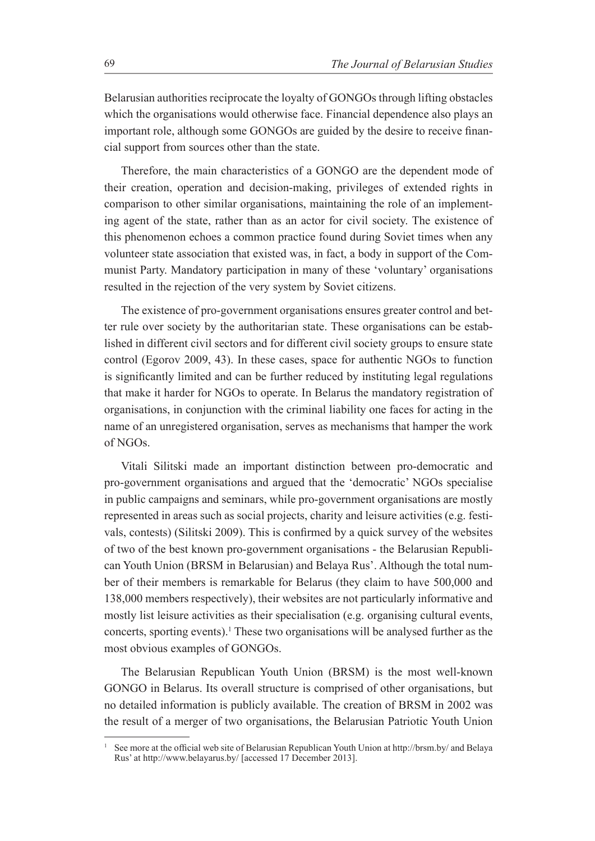Belarusian authorities reciprocate the loyalty of GONGOs through lifting obstacles which the organisations would otherwise face. Financial dependence also plays an important role, although some GONGOs are guided by the desire to receive financial support from sources other than the state.

Therefore, the main characteristics of a GONGO are the dependent mode of their creation, operation and decision-making, privileges of extended rights in comparison to other similar organisations, maintaining the role of an implementing agent of the state, rather than as an actor for civil society. The existence of this phenomenon echoes a common practice found during Soviet times when any volunteer state association that existed was, in fact, a body in support of the Communist Party. Mandatory participation in many of these 'voluntary' organisations resulted in the rejection of the very system by Soviet citizens.

The existence of pro-government organisations ensures greater control and better rule over society by the authoritarian state. These organisations can be established in different civil sectors and for different civil society groups to ensure state control (Egorov 2009, 43). In these cases, space for authentic NGOs to function is significantly limited and can be further reduced by instituting legal regulations that make it harder for NGOs to operate. In Belarus the mandatory registration of organisations, in conjunction with the criminal liability one faces for acting in the name of an unregistered organisation, serves as mechanisms that hamper the work of NGOs.

Vitali Silitski made an important distinction between pro-democratic and pro-government organisations and argued that the 'democratic' NGOs specialise in public campaigns and seminars, while pro-government organisations are mostly represented in areas such as social projects, charity and leisure activities (e.g. festivals, contests) (Silitski 2009). This is confirmed by a quick survey of the websites of two of the best known pro-government organisations - the Belarusian Republican Youth Union (BRSM in Belarusian) and Belaya Rus'. Although the total number of their members is remarkable for Belarus (they claim to have 500,000 and 138,000 members respectively), their websites are not particularly informative and mostly list leisure activities as their specialisation (e.g. organising cultural events, concerts, sporting events).<sup>1</sup> These two organisations will be analysed further as the most obvious examples of GONGOs.

The Belarusian Republican Youth Union (BRSM) is the most well-known GONGO in Belarus. Its overall structure is comprised of other organisations, but no detailed information is publicly available. The creation of BRSM in 2002 was the result of a merger of two organisations, the Belarusian Patriotic Youth Union

<sup>1</sup> See more at the official web site of Belarusian Republican Youth Union at http://brsm.by/ and Belaya Rus' at http://www.belayarus.by/ [accessed 17 December 2013].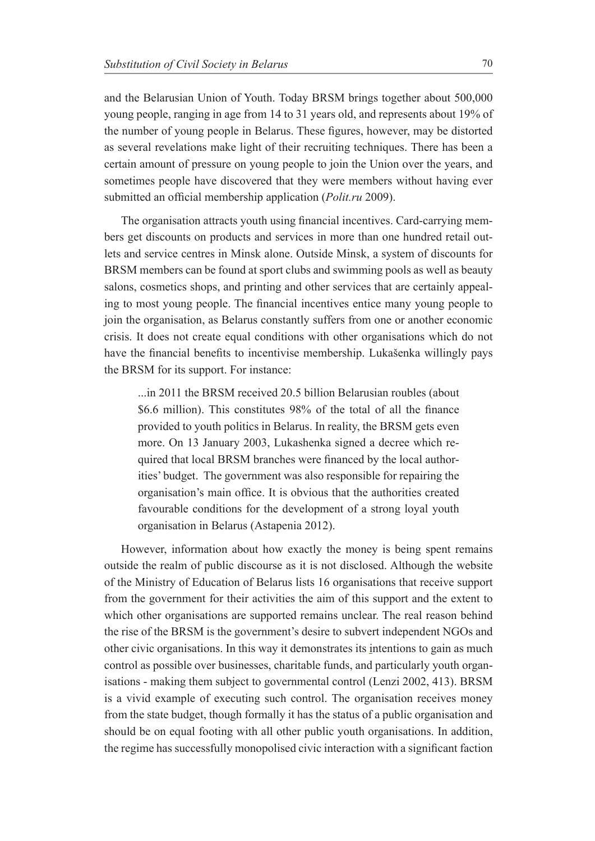and the Belarusian Union of Youth. Today BRSM brings together about 500,000 young people, ranging in age from 14 to 31 years old, and represents about 19% of the number of young people in Belarus. These figures, however, may be distorted as several revelations make light of their recruiting techniques. There has been a certain amount of pressure on young people to join the Union over the years, and sometimes people have discovered that they were members without having ever submitted an official membership application (*Polit.ru* 2009).

The organisation attracts youth using financial incentives. Card-carrying members get discounts on products and services in more than one hundred retail outlets and service centres in Minsk alone. Outside Minsk, a system of discounts for BRSM members can be found at sport clubs and swimming pools as well as beauty salons, cosmetics shops, and printing and other services that are certainly appealing to most young people. The financial incentives entice many young people to join the organisation, as Belarus constantly suffers from one or another economic crisis. It does not create equal conditions with other organisations which do not have the financial benefits to incentivise membership. Lukašenka willingly pays the BRSM for its support. For instance:

...in 2011 the BRSM received 20.5 billion Belarusian roubles (about \$6.6 million). This constitutes 98% of the total of all the finance provided to youth politics in Belarus. In reality, the BRSM gets even more. On 13 January 2003, Lukashenka signed a decree which required that local BRSM branches were financed by the local authorities' budget. The government was also responsible for repairing the organisation's main office. It is obvious that the authorities created favourable conditions for the development of a strong loyal youth organisation in Belarus (Astapenia 2012).

However, information about how exactly the money is being spent remains outside the realm of public discourse as it is not disclosed. Although the website of the Ministry of Education of Belarus lists 16 organisations that receive support from the government for their activities the aim of this support and the extent to which other organisations are supported remains unclear. The real reason behind the rise of the BRSM is the government's desire to subvert independent NGOs and other civic organisations. In this way it demonstrates its intentions to gain as much control as possible over businesses, charitable funds, and particularly youth organisations - making them subject to governmental control (Lenzi 2002, 413). BRSM is a vivid example of executing such control. The organisation receives money from the state budget, though formally it has the status of a public organisation and should be on equal footing with all other public youth organisations. In addition, the regime has successfully monopolised civic interaction with a significant faction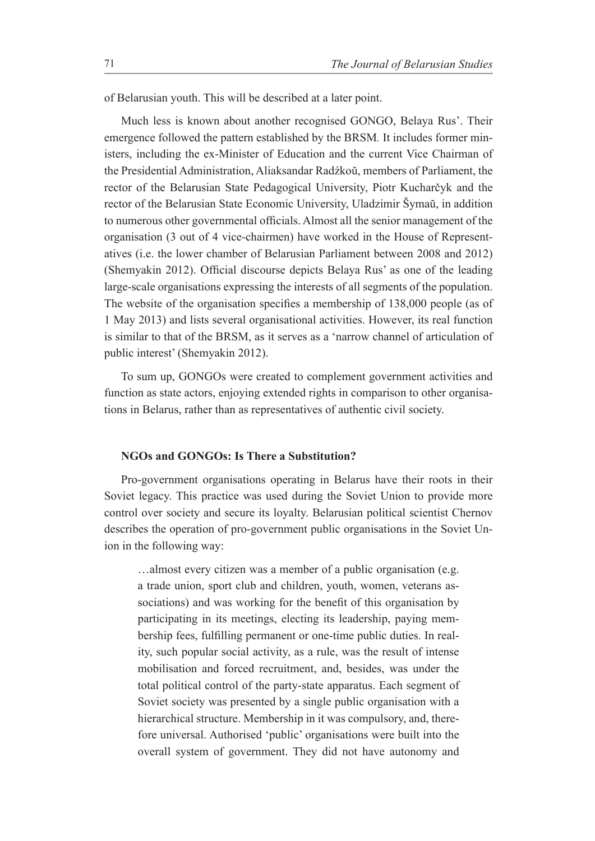of Belarusian youth. This will be described at a later point.

Much less is known about another recognised GONGO, Belaya Rus'. Their emergence followed the pattern established by the BRSM*.* It includes former ministers, including the ex-Minister of Education and the current Vice Chairman of the Presidential Administration, Aliaksandar Radźkoŭ, members of Parliament, the rector of the Belarusian State Pedagogical University, Piotr Kucharčyk and the rector of the Belarusian State Economic University, Uladzimir Šymaŭ, in addition to numerous other governmental officials. Almost all the senior management of the organisation (3 out of 4 vice-chairmen) have worked in the House of Representatives (i.e. the lower chamber of Belarusian Parliament between 2008 and 2012) (Shemyakin 2012). Official discourse depicts Belaya Rus' as one of the leading large-scale organisations expressing the interests of all segments of the population. The website of the organisation specifies a membership of 138,000 people (as of 1 May 2013) and lists several organisational activities. However, its real function is similar to that of the BRSM, as it serves as a 'narrow channel of articulation of public interest' (Shemyakin 2012).

To sum up, GONGOs were created to complement government activities and function as state actors, enjoying extended rights in comparison to other organisations in Belarus, rather than as representatives of authentic civil society.

## **NGOs and GONGOs: Is There a Substitution?**

Pro-government organisations operating in Belarus have their roots in their Soviet legacy. This practice was used during the Soviet Union to provide more control over society and secure its loyalty. Belarusian political scientist Chernov describes the operation of pro-government public organisations in the Soviet Union in the following way:

…almost every citizen was a member of a public organisation (e.g. a trade union, sport club and children, youth, women, veterans associations) and was working for the benefit of this organisation by participating in its meetings, electing its leadership, paying membership fees, fulfilling permanent or one-time public duties. In reality, such popular social activity, as a rule, was the result of intense mobilisation and forced recruitment, and, besides, was under the total political control of the party-state apparatus. Each segment of Soviet society was presented by a single public organisation with a hierarchical structure. Membership in it was compulsory, and, therefore universal. Authorised 'public' organisations were built into the overall system of government. They did not have autonomy and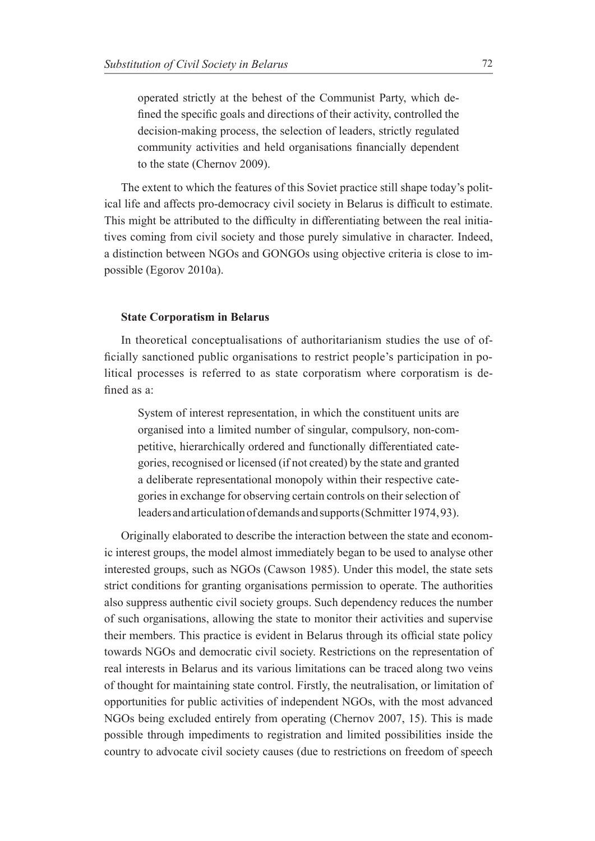operated strictly at the behest of the Communist Party, which de fined the specific goals and directions of their activity, controlled the decision-making process, the selection of leaders, strictly regulated community activities and held organisations financially dependent to the state (Chernov 2009).

The extent to which the features of this Soviet practice still shape today's political life and affects pro-democracy civil society in Belarus is difficult to estimate. This might be attributed to the difficulty in differentiating between the real initiatives coming from civil society and those purely simulative in character. Indeed, a distinction between NGOs and GONGOs using objective criteria is close to impossible (Egorov 2010a).

## **State Corporatism in Belarus**

In theoretical conceptualisations of authoritarianism studies the use of of ficially sanctioned public organisations to restrict people's participation in political processes is referred to as state corporatism where corporatism is de fined as  $a^T$ 

System of interest representation, in which the constituent units are organised into a limited number of singular, compulsory, non-competitive, hierarchically ordered and functionally differentiated categories, recognised or licensed (if not created) by the state and granted a deliberate representational monopoly within their respective categories in exchange for observing certain controls on their selection of leaders and articulation of demands and supports (Schmitter 1974, 93).

Originally elaborated to describe the interaction between the state and economic interest groups, the model almost immediately began to be used to analyse other interested groups, such as NGOs (Cawson 1985). Under this model, the state sets strict conditions for granting organisations permission to operate. The authorities also suppress authentic civil society groups. Such dependency reduces the number of such organisations, allowing the state to monitor their activities and supervise their members. This practice is evident in Belarus through its official state policy towards NGOs and democratic civil society. Restrictions on the representation of real interests in Belarus and its various limitations can be traced along two veins of thought for maintaining state control. Firstly, the neutralisation, or limitation of opportunities for public activities of independent NGOs, with the most advanced NGOs being excluded entirely from operating (Chernov 2007, 15). This is made possible through impediments to registration and limited possibilities inside the country to advocate civil society causes (due to restrictions on freedom of speech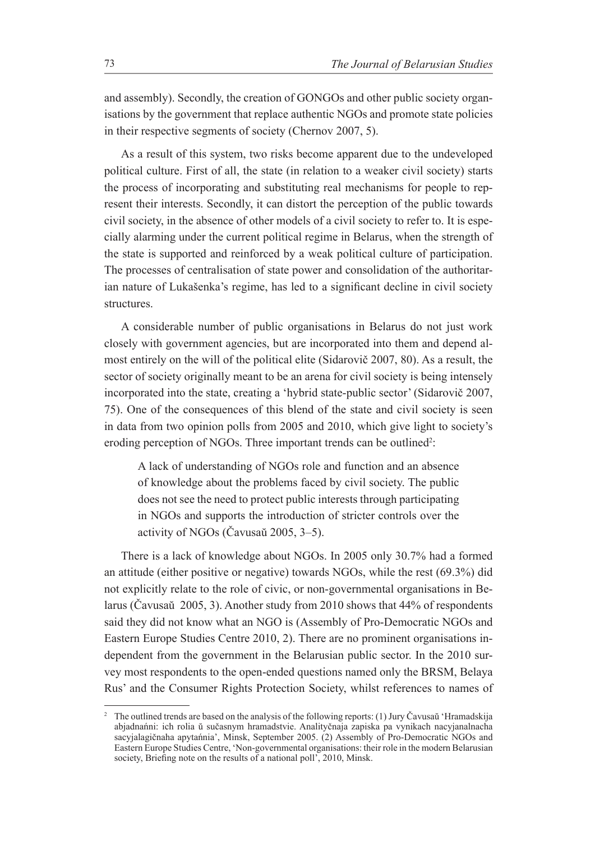and assembly). Secondly, the creation of GONGOs and other public society organisations by the government that replace authentic NGOs and promote state policies in their respective segments of society (Chernov 2007, 5).

As a result of this system, two risks become apparent due to the undeveloped political culture. First of all, the state (in relation to a weaker civil society) starts the process of incorporating and substituting real mechanisms for people to represent their interests. Secondly, it can distort the perception of the public towards civil society, in the absence of other models of a civil society to refer to. It is especially alarming under the current political regime in Belarus, when the strength of the state is supported and reinforced by a weak political culture of participation. The processes of centralisation of state power and consolidation of the authoritarian nature of Lukašenka's regime, has led to a significant decline in civil society structures.

A considerable number of public organisations in Belarus do not just work closely with government agencies, but are incorporated into them and depend almost entirely on the will of the political elite (Sidarovič 2007, 80). As a result, the sector of society originally meant to be an arena for civil society is being intensely incorporated into the state, creating a 'hybrid state-public sector' (Sidarovič 2007, 75). One of the consequences of this blend of the state and civil society is seen in data from two opinion polls from 2005 and 2010, which give light to society's eroding perception of NGOs. Three important trends can be outlined<sup>2</sup>:

A lack of understanding of NGOs role and function and an absence of knowledge about the problems faced by civil society. The public does not see the need to protect public interests through participating in NGOs and supports the introduction of stricter controls over the activity of NGOs (Čavusaŭ 2005,  $3-5$ ).

There is a lack of knowledge about NGOs. In 2005 only 30.7% had a formed an attitude (either positive or negative) towards NGOs, while the rest (69.3%) did not explicitly relate to the role of civic, or non-governmental organisations in Belarus (Čavusaŭ 2005, 3). Another study from 2010 shows that  $44\%$  of respondents said they did not know what an NGO is (Assembly of Pro-Democratic NGOs and Eastern Europe Studies Centre 2010, 2). There are no prominent organisations independent from the government in the Belarusian public sector. In the 2010 survey most respondents to the open-ended questions named only the BRSM, Belaya Rus' and the Consumer Rights Protection Society, whilst references to names of

<sup>&</sup>lt;sup>2</sup> The outlined trends are based on the analysis of the following reports: (1) Jury Cavusaŭ 'Hramadskija abjadnańni: ich rolia ŭ sučasnym hramadstvie. Analityčnaja zapiska pa vynikach nacyjanalnacha sacyjalagičnaha apytańnia', Minsk, September 2005. (2) Assembly of Pro-Democratic NGOs and Eastern Europe Studies Centre, 'Non-governmental organisations: their role in the modern Belarusian society, Briefing note on the results of a national poll', 2010, Minsk.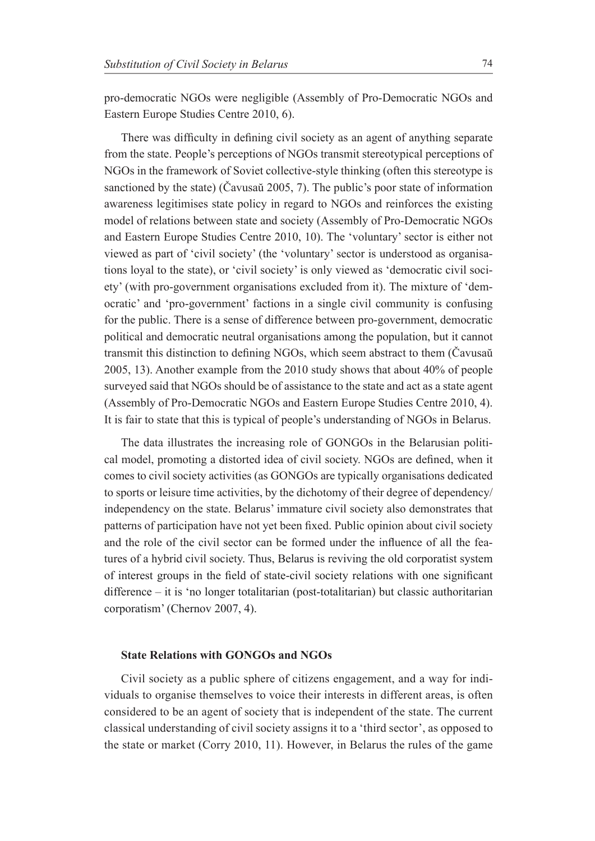pro-democratic NGOs were negligible (Assembly of Pro-Democratic NGOs and Eastern Europe Studies Centre 2010, 6).

There was difficulty in defining civil society as an agent of anything separate from the state. People's perceptions of NGOs transmit stereotypical perceptions of NGOs in the framework of Soviet collective-style thinking (often this stereotype is sanctioned by the state) (Čavusaŭ 2005, 7). The public's poor state of information awareness legitimises state policy in regard to NGOs and reinforces the existing model of relations between state and society (Assembly of Pro-Democratic NGOs and Eastern Europe Studies Centre 2010, 10). The 'voluntary' sector is either not viewed as part of 'civil society' (the 'voluntary' sector is understood as organisations loyal to the state), or 'civil society' is only viewed as 'democratic civil society' (with pro-government organisations excluded from it). The mixture of 'democratic' and 'pro-government' factions in a single civil community is confusing for the public. There is a sense of difference between pro-government, democratic political and democratic neutral organisations among the population, but it cannot transmit this distinction to defining NGOs, which seem abstract to them (Cavusau 2005, 13). Another example from the 2010 study shows that about 40% of people surveyed said that NGOs should be of assistance to the state and act as a state agent (Assembly of Pro-Democratic NGOs and Eastern Europe Studies Centre 2010, 4). It is fair to state that this is typical of people's understanding of NGOs in Belarus.

The data illustrates the increasing role of GONGOs in the Belarusian political model, promoting a distorted idea of civil society. NGOs are defined, when it comes to civil society activities (as GONGOs are typically organisations dedicated to sports or leisure time activities, by the dichotomy of their degree of dependency/ independency on the state. Belarus' immature civil society also demonstrates that patterns of participation have not yet been fixed. Public opinion about civil society and the role of the civil sector can be formed under the influence of all the features of a hybrid civil society. Thus, Belarus is reviving the old corporatist system of interest groups in the field of state-civil society relations with one significant difference – it is 'no longer totalitarian (post-totalitarian) but classic authoritarian corporatism' (Chernov 2007, 4).

#### **State Relations with GONGOs and NGOs**

Civil society as a public sphere of citizens engagement, and a way for individuals to organise themselves to voice their interests in different areas, is often considered to be an agent of society that is independent of the state. The current classical understanding of civil society assigns it to a 'third sector', as opposed to the state or market (Corry 2010, 11). However, in Belarus the rules of the game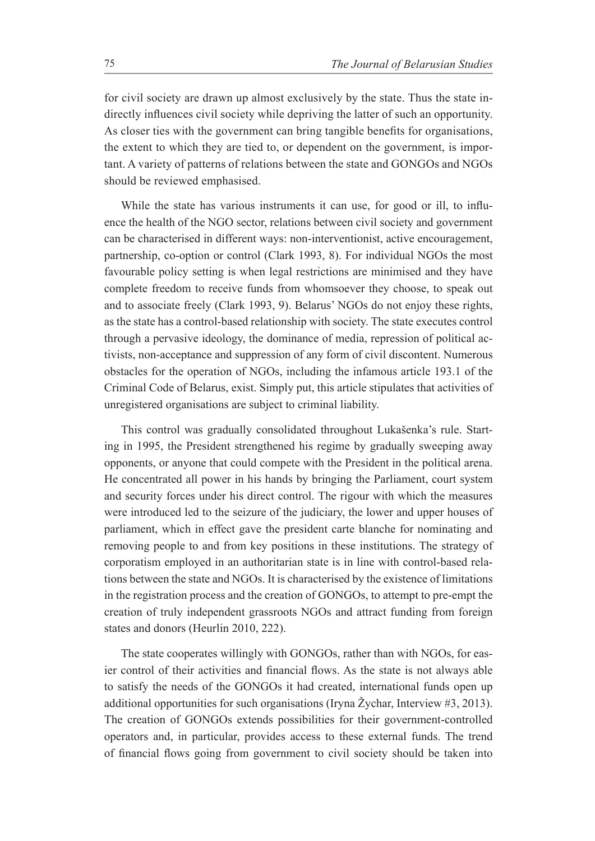for civil society are drawn up almost exclusively by the state. Thus the state indirectly influences civil society while depriving the latter of such an opportunity. As closer ties with the government can bring tangible benefits for organisations, the extent to which they are tied to, or dependent on the government, is important. A variety of patterns of relations between the state and GONGOs and NGOs should be reviewed emphasised.

While the state has various instruments it can use, for good or ill, to influence the health of the NGO sector, relations between civil society and government can be characterised in different ways: non-interventionist, active encouragement, partnership, co-option or control (Clark 1993, 8). For individual NGOs the most favourable policy setting is when legal restrictions are minimised and they have complete freedom to receive funds from whomsoever they choose, to speak out and to associate freely (Clark 1993, 9). Belarus' NGOs do not enjoy these rights, as the state has a control-based relationship with society. The state executes control through a pervasive ideology, the dominance of media, repression of political activists, non-acceptance and suppression of any form of civil discontent. Numerous obstacles for the operation of NGOs, including the infamous article 193.1 of the Criminal Code of Belarus, exist. Simply put, this article stipulates that activities of unregistered organisations are subject to criminal liability.

This control was gradually consolidated throughout Lukašenka's rule. Starting in 1995, the President strengthened his regime by gradually sweeping away opponents, or anyone that could compete with the President in the political arena. He concentrated all power in his hands by bringing the Parliament, court system and security forces under his direct control. The rigour with which the measures were introduced led to the seizure of the judiciary, the lower and upper houses of parliament, which in effect gave the president carte blanche for nominating and removing people to and from key positions in these institutions. The strategy of corporatism employed in an authoritarian state is in line with control-based relations between the state and NGOs. It is characterised by the existence of limitations in the registration process and the creation of GONGOs, to attempt to pre-empt the creation of truly independent grassroots NGOs and attract funding from foreign states and donors (Heurlin 2010, 222).

The state cooperates willingly with GONGOs, rather than with NGOs, for easier control of their activities and financial flows. As the state is not always able to satisfy the needs of the GONGOs it had created, international funds open up additional opportunities for such organisations (Iryna Žychar, Interview #3, 2013). The creation of GONGOs extends possibilities for their government-controlled operators and, in particular, provides access to these external funds. The trend of financial flows going from government to civil society should be taken into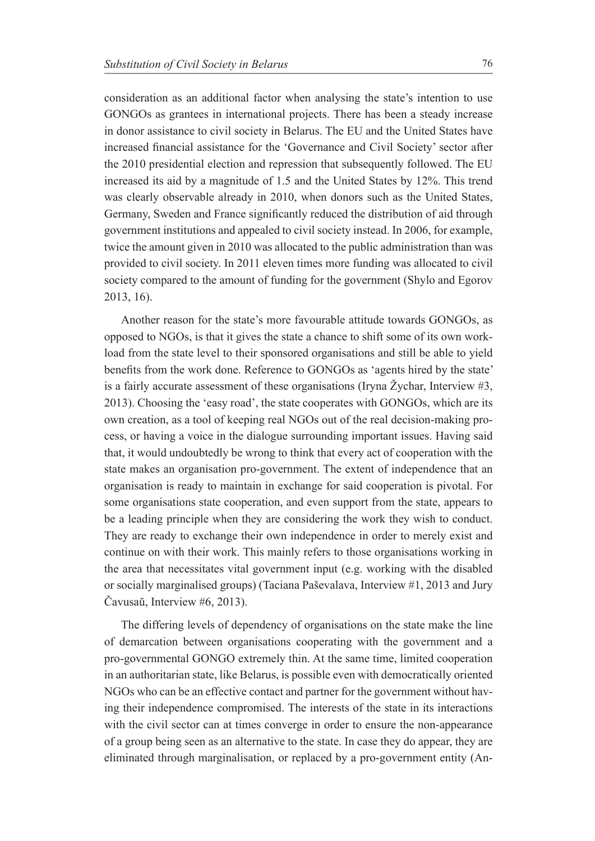consideration as an additional factor when analysing the state's intention to use GONGOs as grantees in international projects. There has been a steady increase in donor assistance to civil society in Belarus. The EU and the United States have increased financial assistance for the 'Governance and Civil Society' sector after the 2010 presidential election and repression that subsequently followed. The EU increased its aid by a magnitude of 1.5 and the United States by 12%. This trend was clearly observable already in 2010, when donors such as the United States, Germany, Sweden and France significantly reduced the distribution of aid through government institutions and appealed to civil society instead. In 2006, for example, twice the amount given in 2010 was allocated to the public administration than was provided to civil society. In 2011 eleven times more funding was allocated to civil society compared to the amount of funding for the government (Shylo and Egorov 2013, 16).

Another reason for the state's more favourable attitude towards GONGOs, as opposed to NGOs, is that it gives the state a chance to shift some of its own workload from the state level to their sponsored organisations and still be able to yield benefits from the work done. Reference to GONGOs as 'agents hired by the state' is a fairly accurate assessment of these organisations (Iryna Žychar, Interview #3, 2013). Choosing the 'easy road', the state cooperates with GONGOs, which are its own creation, as a tool of keeping real NGOs out of the real decision-making process, or having a voice in the dialogue surrounding important issues. Having said that, it would undoubtedly be wrong to think that every act of cooperation with the state makes an organisation pro-government. The extent of independence that an organisation is ready to maintain in exchange for said cooperation is pivotal. For some organisations state cooperation, and even support from the state, appears to be a leading principle when they are considering the work they wish to conduct. They are ready to exchange their own independence in order to merely exist and continue on with their work. This mainly refers to those organisations working in the area that necessitates vital government input (e.g. working with the disabled or socially marginalised groups) (Taciana Paševalava, Interview #1, 2013 and Jury Čavusaŭ, Interview #6, 2013).

The differing levels of dependency of organisations on the state make the line of demarcation between organisations cooperating with the government and a pro-governmental GONGO extremely thin. At the same time, limited cooperation in an authoritarian state, like Belarus, is possible even with democratically oriented NGOs who can be an effective contact and partner for the government without having their independence compromised. The interests of the state in its interactions with the civil sector can at times converge in order to ensure the non-appearance of a group being seen as an alternative to the state. In case they do appear, they are eliminated through marginalisation, or replaced by a pro-government entity (An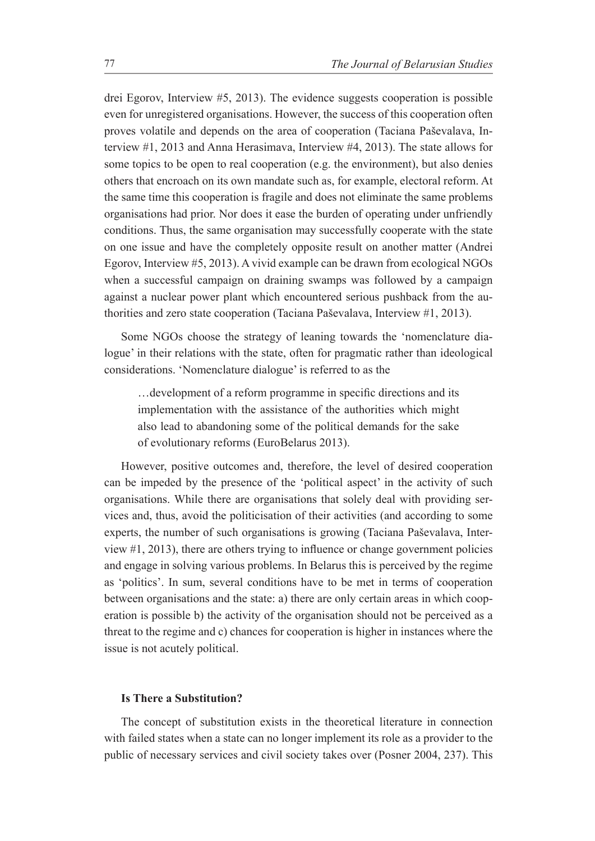drei Egorov, Interview #5, 2013). The evidence suggests cooperation is possible even for unregistered organisations. However, the success of this cooperation often proves volatile and depends on the area of cooperation (Taciana Paševalava, Interview #1, 2013 and Anna Herasimava, Interview #4, 2013). The state allows for some topics to be open to real cooperation (e.g. the environment), but also denies others that encroach on its own mandate such as, for example, electoral reform. At the same time this cooperation is fragile and does not eliminate the same problems organisations had prior. Nor does it ease the burden of operating under unfriendly conditions. Thus, the same organisation may successfully cooperate with the state on one issue and have the completely opposite result on another matter (Andrei Egorov, Interview #5, 2013). A vivid example can be drawn from ecological NGOs when a successful campaign on draining swamps was followed by a campaign against a nuclear power plant which encountered serious pushback from the authorities and zero state cooperation (Taciana Paševalava, Interview #1, 2013).

Some NGOs choose the strategy of leaning towards the 'nomenclature dialogue' in their relations with the state, often for pragmatic rather than ideological considerations. 'Nomenclature dialogue' is referred to as the

... development of a reform programme in specific directions and its implementation with the assistance of the authorities which might also lead to abandoning some of the political demands for the sake of evolutionary reforms (EuroBelarus 2013).

However, positive outcomes and, therefore, the level of desired cooperation can be impeded by the presence of the 'political aspect' in the activity of such organisations. While there are organisations that solely deal with providing services and, thus, avoid the politicisation of their activities (and according to some experts, the number of such organisations is growing (Taciana Paševalava, Interview  $\#1$ , 2013), there are others trying to influence or change government policies and engage in solving various problems. In Belarus this is perceived by the regime as 'politics'. In sum, several conditions have to be met in terms of cooperation between organisations and the state: a) there are only certain areas in which cooperation is possible b) the activity of the organisation should not be perceived as a threat to the regime and c) chances for cooperation is higher in instances where the issue is not acutely political.

### **Is There a Substitution?**

The concept of substitution exists in the theoretical literature in connection with failed states when a state can no longer implement its role as a provider to the public of necessary services and civil society takes over (Posner 2004, 237). This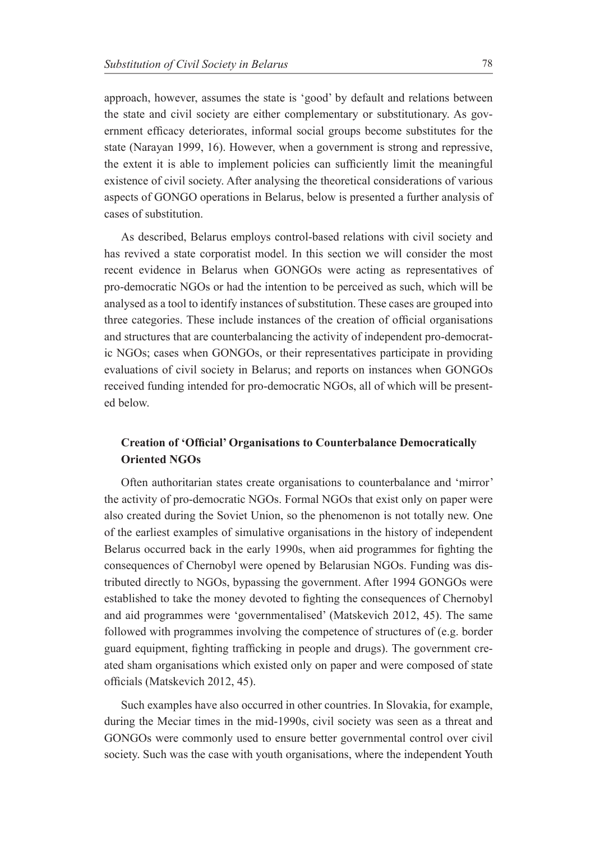approach, however, assumes the state is 'good' by default and relations between the state and civil society are either complementary or substitutionary. As government efficacy deteriorates, informal social groups become substitutes for the state (Narayan 1999, 16). However, when a government is strong and repressive, the extent it is able to implement policies can sufficiently limit the meaningful existence of civil society. After analysing the theoretical considerations of various aspects of GONGO operations in Belarus, below is presented a further analysis of cases of substitution.

As described, Belarus employs control-based relations with civil society and has revived a state corporatist model. In this section we will consider the most recent evidence in Belarus when GONGOs were acting as representatives of pro-democratic NGOs or had the intention to be perceived as such, which will be analysed as a tool to identify instances of substitution. These cases are grouped into three categories. These include instances of the creation of official organisations and structures that are counterbalancing the activity of independent pro-democratic NGOs; cases when GONGOs, or their representatives participate in providing evaluations of civil society in Belarus; and reports on instances when GONGOs received funding intended for pro-democratic NGOs, all of which will be presented below.

# **Creation of 'Official' Organisations to Counterbalance Democratically Oriented NGOs**

Often authoritarian states create organisations to counterbalance and 'mirror' the activity of pro-democratic NGOs. Formal NGOs that exist only on paper were also created during the Soviet Union, so the phenomenon is not totally new. One of the earliest examples of simulative organisations in the history of independent Belarus occurred back in the early 1990s, when aid programmes for fighting the consequences of Chernobyl were opened by Belarusian NGOs. Funding was distributed directly to NGOs, bypassing the government. After 1994 GONGOs were established to take the money devoted to fighting the consequences of Chernobyl and aid programmes were 'governmentalised' (Matskevich 2012, 45). The same followed with programmes involving the competence of structures of (e.g. border guard equipment, fighting trafficking in people and drugs). The government created sham organisations which existed only on paper and were composed of state officials (Matskevich 2012, 45).

Such examples have also occurred in other countries. In Slovakia, for example, during the Meciar times in the mid-1990s, civil society was seen as a threat and GONGOs were commonly used to ensure better governmental control over civil society. Such was the case with youth organisations, where the independent Youth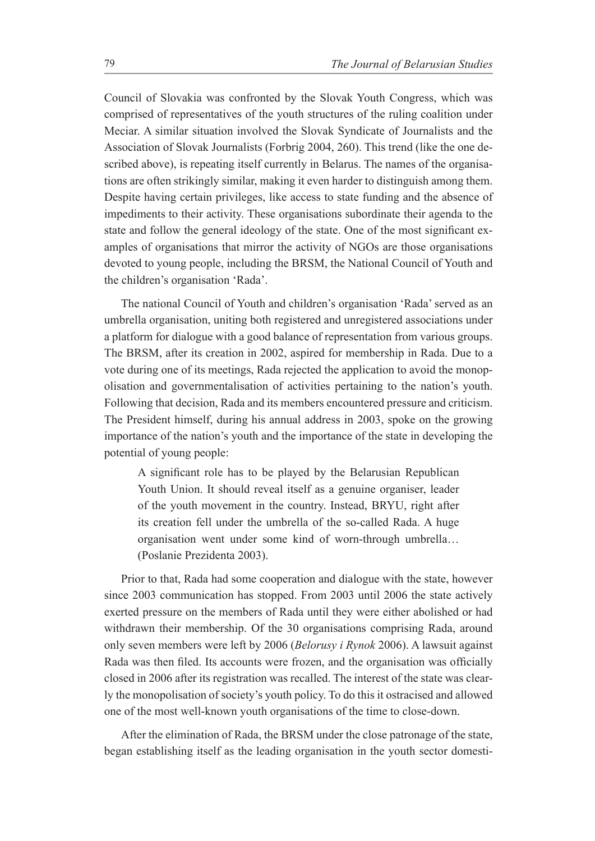Council of Slovakia was confronted by the Slovak Youth Congress, which was comprised of representatives of the youth structures of the ruling coalition under Meciar. A similar situation involved the Slovak Syndicate of Journalists and the Association of Slovak Journalists (Forbrig 2004, 260). This trend (like the one described above), is repeating itself currently in Belarus. The names of the organisations are often strikingly similar, making it even harder to distinguish among them. Despite having certain privileges, like access to state funding and the absence of impediments to their activity. These organisations subordinate their agenda to the state and follow the general ideology of the state. One of the most significant examples of organisations that mirror the activity of NGOs are those organisations devoted to young people, including the BRSM, the National Council of Youth and the children's organisation 'Rada'.

The national Council of Youth and children's organisation 'Rada' served as an umbrella organisation, uniting both registered and unregistered associations under a platform for dialogue with a good balance of representation from various groups. The BRSM, after its creation in 2002, aspired for membership in Rada. Due to a vote during one of its meetings, Rada rejected the application to avoid the monopolisation and governmentalisation of activities pertaining to the nation's youth. Following that decision, Rada and its members encountered pressure and criticism. The President himself, during his annual address in 2003, spoke on the growing importance of the nation's youth and the importance of the state in developing the potential of young people:

A significant role has to be played by the Belarusian Republican Youth Union. It should reveal itself as a genuine organiser, leader of the youth movement in the country. Instead, BRYU, right after its creation fell under the umbrella of the so-called Rada. A huge organisation went under some kind of worn-through umbrella… (Poslanie Prezidenta 2003).

Prior to that, Rada had some cooperation and dialogue with the state, however since 2003 communication has stopped. From 2003 until 2006 the state actively exerted pressure on the members of Rada until they were either abolished or had withdrawn their membership. Of the 30 organisations comprising Rada, around only seven members were left by 2006 (*Belorusy i Rynok* 2006). A lawsuit against Rada was then filed. Its accounts were frozen, and the organisation was officially closed in 2006 after its registration was recalled. The interest of the state was clearly the monopolisation of society's youth policy. To do this it ostracised and allowed one of the most well-known youth organisations of the time to close-down.

After the elimination of Rada, the BRSM under the close patronage of the state, began establishing itself as the leading organisation in the youth sector domesti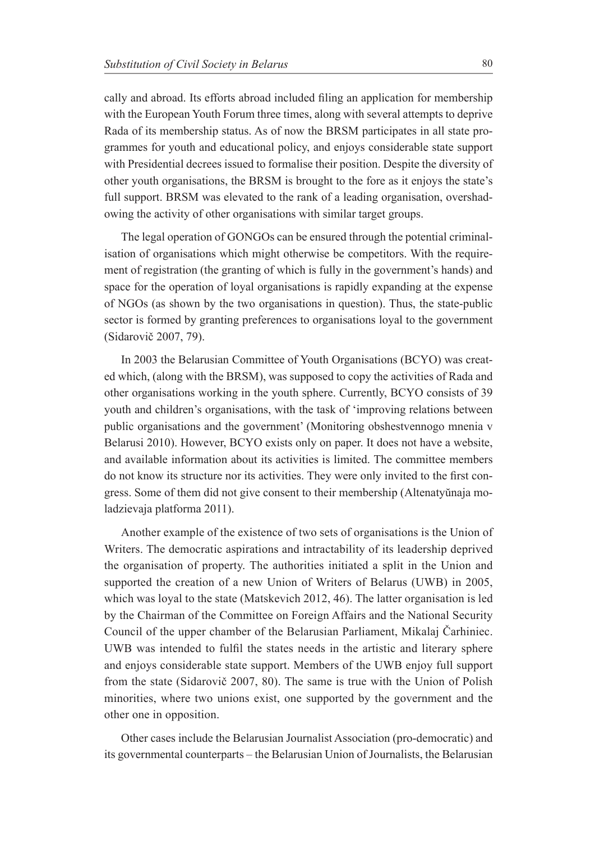cally and abroad. Its efforts abroad included filing an application for membership with the European Youth Forum three times, along with several attempts to deprive Rada of its membership status. As of now the BRSM participates in all state programmes for youth and educational policy, and enjoys considerable state support with Presidential decrees issued to formalise their position. Despite the diversity of other youth organisations, the BRSM is brought to the fore as it enjoys the state's full support. BRSM was elevated to the rank of a leading organisation, overshadowing the activity of other organisations with similar target groups.

The legal operation of GONGOs can be ensured through the potential criminalisation of organisations which might otherwise be competitors. With the requirement of registration (the granting of which is fully in the government's hands) and space for the operation of loyal organisations is rapidly expanding at the expense of NGOs (as shown by the two organisations in question). Thus, the state-public sector is formed by granting preferences to organisations loyal to the government (Sidarovič 2007, 79).

In 2003 the Belarusian Committee of Youth Organisations (BCYO) was created which, (along with the BRSM), was supposed to copy the activities of Rada and other organisations working in the youth sphere. Currently, BCYO consists of 39 youth and children's organisations, with the task of 'improving relations between public organisations and the government' (Monitoring obshestvennogo mnenia v Belarusi 2010). However, BCYO exists only on paper. It does not have a website, and available information about its activities is limited. The committee members do not know its structure nor its activities. They were only invited to the first congress. Some of them did not give consent to their membership (Altenatyunaja moladzievaja platforma 2011).

Another example of the existence of two sets of organisations is the Union of Writers. The democratic aspirations and intractability of its leadership deprived the organisation of property. The authorities initiated a split in the Union and supported the creation of a new Union of Writers of Belarus (UWB) in 2005, which was loyal to the state (Matskevich 2012, 46). The latter organisation is led by the Chairman of the Committee on Foreign Affairs and the National Security Council of the upper chamber of the Belarusian Parliament, Mikalaj Čarhiniec. UWB was intended to fulfil the states needs in the artistic and literary sphere and enjoys considerable state support. Members of the UWB enjoy full support from the state (Sidarovič 2007, 80). The same is true with the Union of Polish minorities, where two unions exist, one supported by the government and the other one in opposition.

Other cases include the Belarusian Journalist Association (pro-democratic) and its governmental counterparts – the Belarusian Union of Journalists, the Belarusian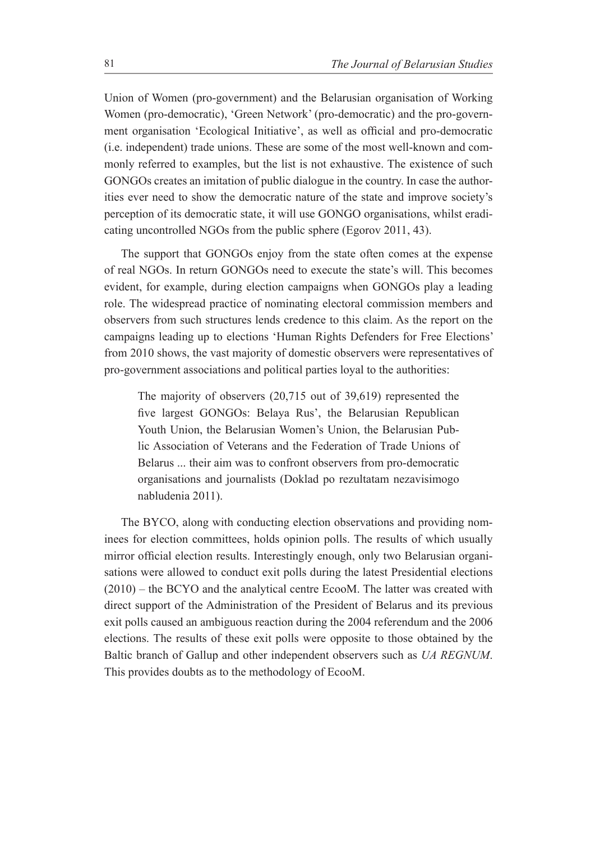Union of Women (pro-government) and the Belarusian organisation of Working Women (pro-democratic), 'Green Network' (pro-democratic) and the pro-government organisation 'Ecological Initiative', as well as official and pro-democratic (i.e. independent) trade unions. These are some of the most well-known and commonly referred to examples, but the list is not exhaustive. The existence of such GONGOs creates an imitation of public dialogue in the country. In case the authorities ever need to show the democratic nature of the state and improve society's perception of its democratic state, it will use GONGO organisations, whilst eradicating uncontrolled NGOs from the public sphere (Egorov 2011, 43).

The support that GONGOs enjoy from the state often comes at the expense of real NGOs. In return GONGOs need to execute the state's will. This becomes evident, for example, during election campaigns when GONGOs play a leading role. The widespread practice of nominating electoral commission members and observers from such structures lends credence to this claim. As the report on the campaigns leading up to elections 'Human Rights Defenders for Free Elections' from 2010 shows, the vast majority of domestic observers were representatives of pro-government associations and political parties loyal to the authorities:

The majority of observers (20,715 out of 39,619) represented the five largest GONGOs: Belaya Rus', the Belarusian Republican Youth Union, the Belarusian Women's Union, the Belarusian Public Association of Veterans and the Federation of Trade Unions of Belarus ... their aim was to confront observers from pro-democratic organisations and journalists (Doklad po rezultatam nezavisimogo nabludenia 2011).

The BYCO, along with conducting election observations and providing nominees for election committees, holds opinion polls. The results of which usually mirror official election results. Interestingly enough, only two Belarusian organisations were allowed to conduct exit polls during the latest Presidential elections (2010) – the BCYO and the analytical centre EcooM. The latter was created with direct support of the Administration of the President of Belarus and its previous exit polls caused an ambiguous reaction during the 2004 referendum and the 2006 elections. The results of these exit polls were opposite to those obtained by the Baltic branch of Gallup and other independent observers such as *UA REGNUM*. This provides doubts as to the methodology of EcooM.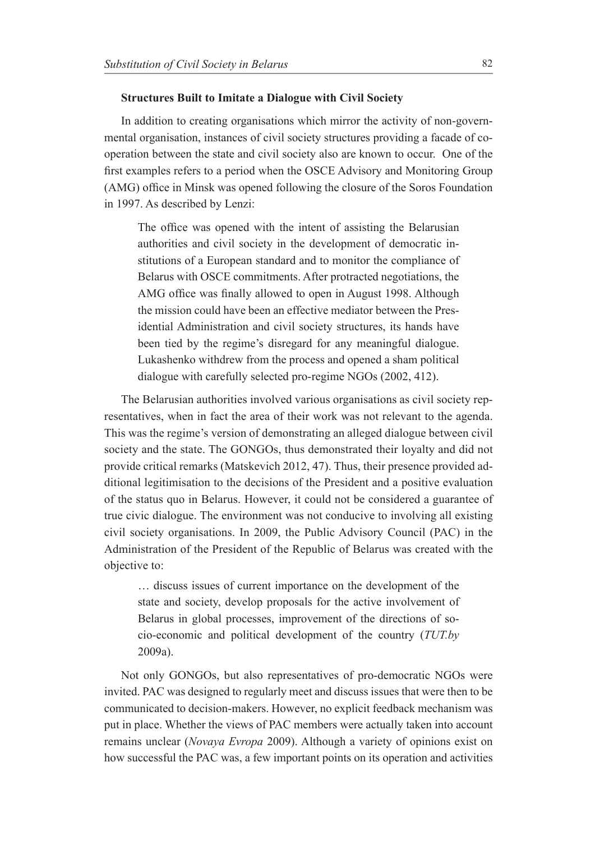#### **Structures Built to Imitate a Dialogue with Civil Society**

In addition to creating organisations which mirror the activity of non-governmental organisation, instances of civil society structures providing a facade of cooperation between the state and civil society also are known to occur. One of the first examples refers to a period when the OSCE Advisory and Monitoring Group (AMG) office in Minsk was opened following the closure of the Soros Foundation in 1997. As described by Lenzi:

The office was opened with the intent of assisting the Belarusian authorities and civil society in the development of democratic institutions of a European standard and to monitor the compliance of Belarus with OSCE commitments. After protracted negotiations, the AMG office was finally allowed to open in August 1998. Although the mission could have been an effective mediator between the Presidential Administration and civil society structures, its hands have been tied by the regime's disregard for any meaningful dialogue. Lukashenko withdrew from the process and opened a sham political dialogue with carefully selected pro-regime NGOs (2002, 412).

The Belarusian authorities involved various organisations as civil society representatives, when in fact the area of their work was not relevant to the agenda. This was the regime's version of demonstrating an alleged dialogue between civil society and the state. The GONGOs, thus demonstrated their loyalty and did not provide critical remarks (Matskevich 2012, 47). Thus, their presence provided additional legitimisation to the decisions of the President and a positive evaluation of the status quo in Belarus. However, it could not be considered a guarantee of true civic dialogue. The environment was not conducive to involving all existing civil society organisations. In 2009, the Public Advisory Council (PAC) in the Administration of the President of the Republic of Belarus was created with the objective to:

… discuss issues of current importance on the development of the state and society, develop proposals for the active involvement of Belarus in global processes, improvement of the directions of socio-economic and political development of the country (*TUT.by* 2009a).

Not only GONGOs, but also representatives of pro-democratic NGOs were invited. PAC was designed to regularly meet and discuss issues that were then to be communicated to decision-makers. However, no explicit feedback mechanism was put in place. Whether the views of PAC members were actually taken into account remains unclear (*Novaya Evropa* 2009). Although a variety of opinions exist on how successful the PAC was, a few important points on its operation and activities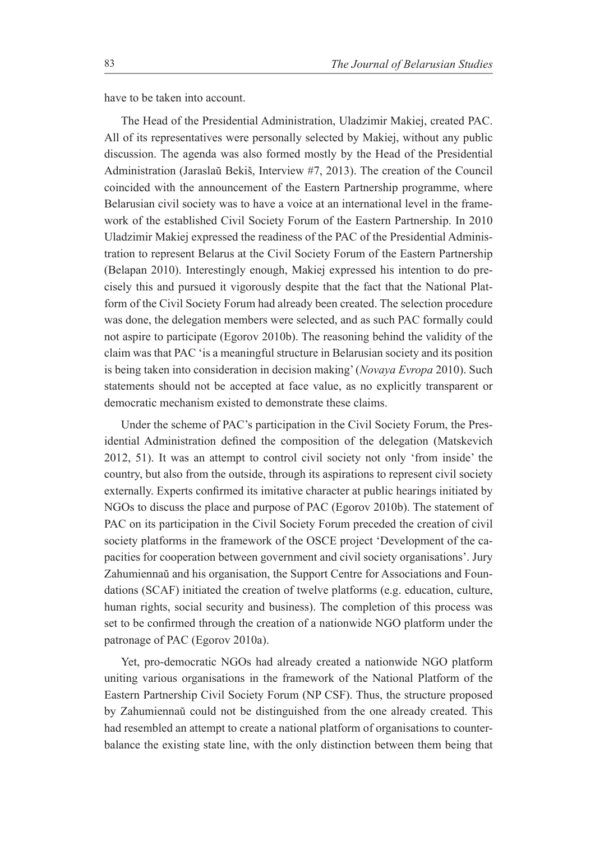have to be taken into account.

The Head of the Presidential Administration, Uladzimir Makiej, created PAC. All of its representatives were personally selected by Makiej, without any public discussion. The agenda was also formed mostly by the Head of the Presidential Administration (Jaraslaŭ Bekiš, Interview #7, 2013). The creation of the Council coincided with the announcement of the Eastern Partnership programme, where Belarusian civil society was to have a voice at an international level in the framework of the established Civil Society Forum of the Eastern Partnership. In 2010 Uladzimir Makiej expressed the readiness of the PAC of the Presidential Administration to represent Belarus at the Civil Society Forum of the Eastern Partnership (Belapan 2010). Interestingly enough, Makiej expressed his intention to do precisely this and pursued it vigorously despite that the fact that the National Platform of the Civil Society Forum had already been created. The selection procedure was done, the delegation members were selected, and as such PAC formally could not aspire to participate (Egorov 2010b). The reasoning behind the validity of the claim was that PAC 'is a meaningful structure in Belarusian society and its position is being taken into consideration in decision making' (*Novaya Evropa* 2010). Such statements should not be accepted at face value, as no explicitly transparent or democratic mechanism existed to demonstrate these claims.

Under the scheme of PAC's participation in the Civil Society Forum, the Presidential Administration defined the composition of the delegation (Matskevich 2012, 51). It was an attempt to control civil society not only 'from inside' the country, but also from the outside, through its aspirations to represent civil society externally. Experts confirmed its imitative character at public hearings initiated by NGOs to discuss the place and purpose of PAC (Egorov 2010b). The statement of PAC on its participation in the Civil Society Forum preceded the creation of civil society platforms in the framework of the OSCE project 'Development of the capacities for cooperation between government and civil society organisations'. Jury Zahumiennaŭ and his organisation, the Support Centre for Associations and Foundations (SCAF) initiated the creation of twelve platforms (e.g. education, culture, human rights, social security and business). The completion of this process was set to be confirmed through the creation of a nationwide NGO platform under the patronage of PAC (Egorov 2010a).

Yet, pro-democratic NGOs had already created a nationwide NGO platform uniting various organisations in the framework of the National Platform of the Eastern Partnership Civil Society Forum (NP CSF). Thus, the structure proposed by Zahumiennaŭ could not be distinguished from the one already created. This had resembled an attempt to create a national platform of organisations to counterbalance the existing state line, with the only distinction between them being that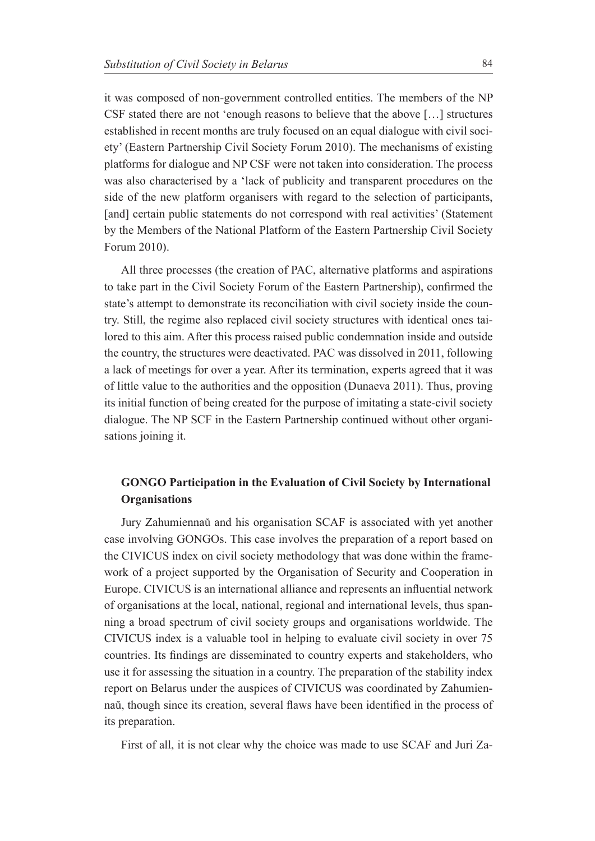it was composed of non-government controlled entities. The members of the NP CSF stated there are not 'enough reasons to believe that the above […] structures established in recent months are truly focused on an equal dialogue with civil society' (Eastern Partnership Civil Society Forum 2010). The mechanisms of existing platforms for dialogue and NP CSF were not taken into consideration. The process was also characterised by a 'lack of publicity and transparent procedures on the side of the new platform organisers with regard to the selection of participants, [and] certain public statements do not correspond with real activities' (Statement by the Members of the National Platform of the Eastern Partnership Civil Society Forum 2010).

All three processes (the creation of PAC, alternative platforms and aspirations to take part in the Civil Society Forum of the Eastern Partnership), confirmed the state's attempt to demonstrate its reconciliation with civil society inside the country. Still, the regime also replaced civil society structures with identical ones tailored to this aim. After this process raised public condemnation inside and outside the country, the structures were deactivated. PAC was dissolved in 2011, following a lack of meetings for over a year. After its termination, experts agreed that it was of little value to the authorities and the opposition (Dunaeva 2011). Thus, proving its initial function of being created for the purpose of imitating a state-civil society dialogue. The NP SCF in the Eastern Partnership continued without other organisations joining it.

# **620NGO Participation in the Evaluation of Civil Society by International Organisations**

Jury Zahumiennaŭ and his organisation SCAF is associated with yet another case involving GONGOs. This case involves the preparation of a report based on the CIVICUS index on civil society methodology that was done within the framework of a project supported by the Organisation of Security and Cooperation in Europe. CIVICUS is an international alliance and represents an influential network of organisations at the local, national, regional and international levels, thus spanning a broad spectrum of civil society groups and organisations worldwide. The CIVICUS index is a valuable tool in helping to evaluate civil society in over 75 countries. Its findings are disseminated to country experts and stakeholders, who use it for assessing the situation in a country. The preparation of the stability index report on Belarus under the auspices of CIVICUS was coordinated by Zahumiennaŭ, though since its creation, several flaws have been identified in the process of its preparation.

First of all, it is not clear why the choice was made to use SCAF and Juri Za-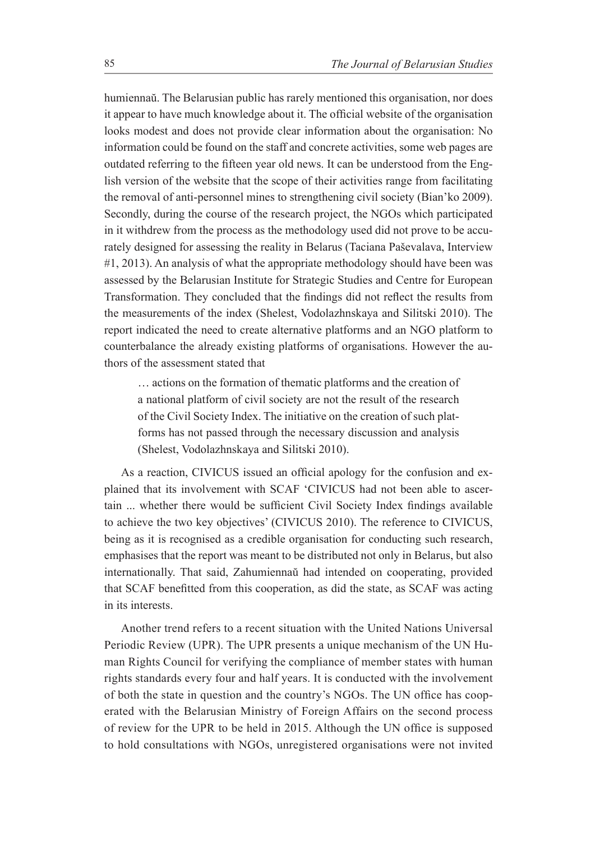humiennaŭ. The Belarusian public has rarely mentioned this organisation, nor does it appear to have much knowledge about it. The official website of the organisation looks modest and does not provide clear information about the organisation: No information could be found on the staff and concrete activities, some web pages are outdated referring to the fifteen year old news. It can be understood from the English version of the website that the scope of their activities range from facilitating the removal of anti-personnel mines to strengthening civil society (Bian'ko 2009). Secondly, during the course of the research project, the NGOs which participated in it withdrew from the process as the methodology used did not prove to be accurately designed for assessing the reality in Belarus (Taciana Paševalava, Interview #1, 2013). An analysis of what the appropriate methodology should have been was assessed by the Belarusian Institute for Strategic Studies and Centre for European Transformation. They concluded that the findings did not reflect the results from the measurements of the index (Shelest, Vodolazhnskaya and Silitski 2010). The report indicated the need to create alternative platforms and an NGO platform to counterbalance the already existing platforms of organisations. However the authors of the assessment stated that

… actions on the formation of thematic platforms and the creation of a national platform of civil society are not the result of the research of the Civil Society Index. The initiative on the creation of such platforms has not passed through the necessary discussion and analysis (Shelest, Vodolazhnskaya and Silitski 2010).

As a reaction, CIVICUS issued an official apology for the confusion and explained that its involvement with SCAF 'CIVICUS had not been able to ascertain ... whether there would be sufficient Civil Society Index findings available to achieve the two key objectives' (CIVICUS 2010). The reference to CIVICUS, being as it is recognised as a credible organisation for conducting such research, emphasises that the report was meant to be distributed not only in Belarus, but also internationally. That said, Zahumiennaŭ had intended on cooperating, provided that SCAF benefitted from this cooperation, as did the state, as SCAF was acting in its interests.

Another trend refers to a recent situation with the United Nations Universal Periodic Review (UPR). The UPR presents a unique mechanism of the UN Human Rights Council for verifying the compliance of member states with human rights standards every four and half years. It is conducted with the involvement of both the state in question and the country's NGOs. The UN office has cooperated with the Belarusian Ministry of Foreign Affairs on the second process of review for the UPR to be held in 2015. Although the UN office is supposed to hold consultations with NGOs, unregistered organisations were not invited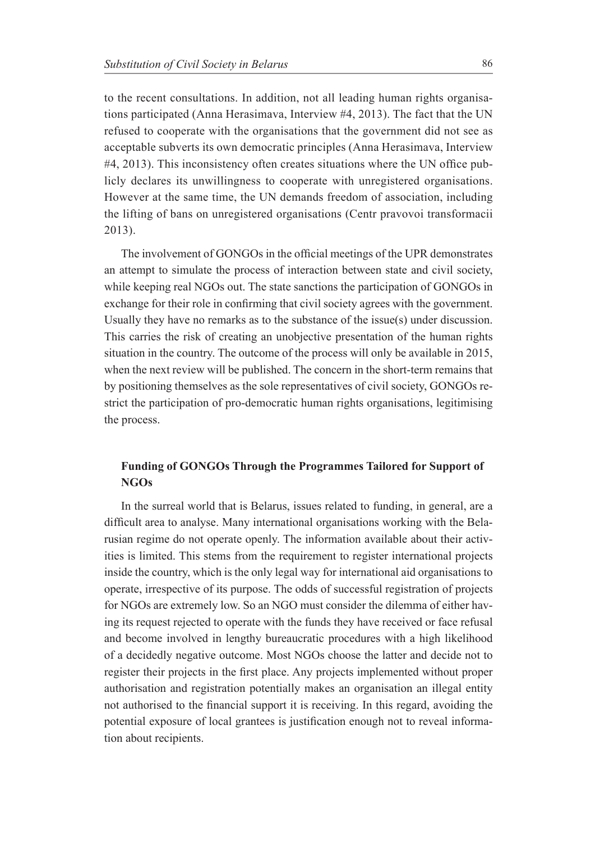to the recent consultations. In addition, not all leading human rights organisations participated (Anna Herasimava, Interview #4, 2013). The fact that the UN refused to cooperate with the organisations that the government did not see as acceptable subverts its own democratic principles (Anna Herasimava, Interview  $#4$ , 2013). This inconsistency often creates situations where the UN office publicly declares its unwillingness to cooperate with unregistered organisations. However at the same time, the UN demands freedom of association, including the lifting of bans on unregistered organisations (Centr pravovoi transformacii 2013).

The involvement of GONGOs in the official meetings of the UPR demonstrates an attempt to simulate the process of interaction between state and civil society, while keeping real NGOs out. The state sanctions the participation of GONGOs in exchange for their role in confirming that civil society agrees with the government. Usually they have no remarks as to the substance of the issue(s) under discussion. This carries the risk of creating an unobjective presentation of the human rights situation in the country. The outcome of the process will only be available in 2015, when the next review will be published. The concern in the short-term remains that by positioning themselves as the sole representatives of civil society, GONGOs restrict the participation of pro-democratic human rights organisations, legitimising the process.

# Funding of GONGOs Through the Programmes Tailored for Support of **NGOs**

In the surreal world that is Belarus, issues related to funding, in general, are a difficult area to analyse. Many international organisations working with the Belarusian regime do not operate openly. The information available about their activities is limited. This stems from the requirement to register international projects inside the country, which is the only legal way for international aid organisations to operate, irrespective of its purpose. The odds of successful registration of projects for NGOs are extremely low. So an NGO must consider the dilemma of either having its request rejected to operate with the funds they have received or face refusal and become involved in lengthy bureaucratic procedures with a high likelihood of a decidedly negative outcome. Most NGOs choose the latter and decide not to register their projects in the first place. Any projects implemented without proper authorisation and registration potentially makes an organisation an illegal entity not authorised to the financial support it is receiving. In this regard, avoiding the potential exposure of local grantees is justification enough not to reveal information about recipients.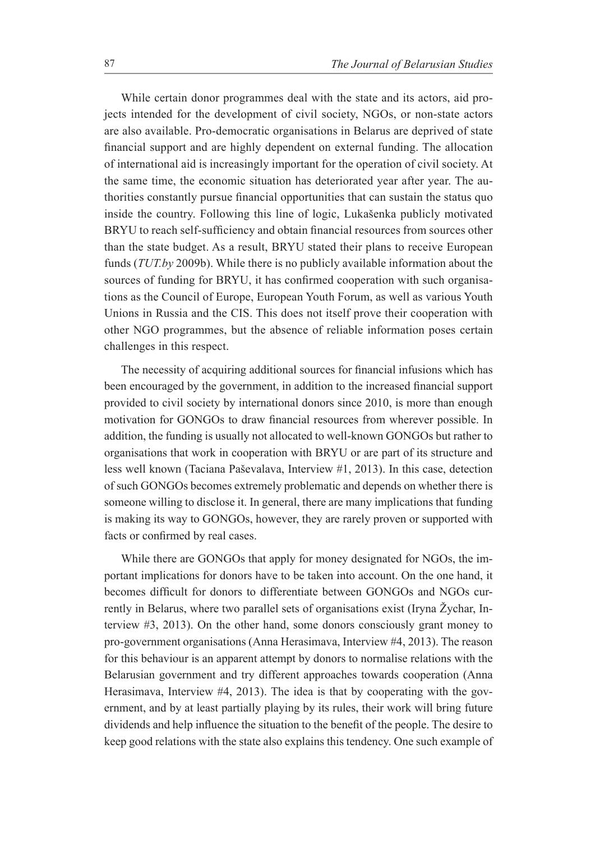While certain donor programmes deal with the state and its actors, aid projects intended for the development of civil society, NGOs, or non-state actors are also available. Pro-democratic organisations in Belarus are deprived of state financial support and are highly dependent on external funding. The allocation of international aid is increasingly important for the operation of civil society. At the same time, the economic situation has deteriorated year after year. The authorities constantly pursue financial opportunities that can sustain the status quo inside the country. Following this line of logic, Lukašenka publicly motivated BRYU to reach self-sufficiency and obtain financial resources from sources other than the state budget. As a result, BRYU stated their plans to receive European funds (*TUT.by* 2009b). While there is no publicly available information about the sources of funding for BRYU, it has confirmed cooperation with such organisations as the Council of Europe, European Youth Forum, as well as various Youth Unions in Russia and the CIS. This does not itself prove their cooperation with other NGO programmes, but the absence of reliable information poses certain challenges in this respect.

The necessity of acquiring additional sources for financial infusions which has been encouraged by the government, in addition to the increased financial support provided to civil society by international donors since 2010, is more than enough motivation for GONGOs to draw financial resources from wherever possible. In addition, the funding is usually not allocated to well-known GONGOs but rather to organisations that work in cooperation with BRYU or are part of its structure and less well known (Taciana Paševalava, Interview #1, 2013). In this case, detection of such GONGOs becomes extremely problematic and depends on whether there is someone willing to disclose it. In general, there are many implications that funding is making its way to GONGOs, however, they are rarely proven or supported with facts or confirmed by real cases.

While there are GONGOs that apply for money designated for NGOs, the important implications for donors have to be taken into account. On the one hand, it becomes difficult for donors to differentiate between GONGOs and NGOs currently in Belarus, where two parallel sets of organisations exist (Iryna Žychar, Interview #3, 2013). On the other hand, some donors consciously grant money to pro-government organisations (Anna Herasimava, Interview #4, 2013). The reason for this behaviour is an apparent attempt by donors to normalise relations with the Belarusian government and try different approaches towards cooperation (Anna Herasimava, Interview #4, 2013). The idea is that by cooperating with the government, and by at least partially playing by its rules, their work will bring future dividends and help influence the situation to the benefit of the people. The desire to keep good relations with the state also explains this tendency. One such example of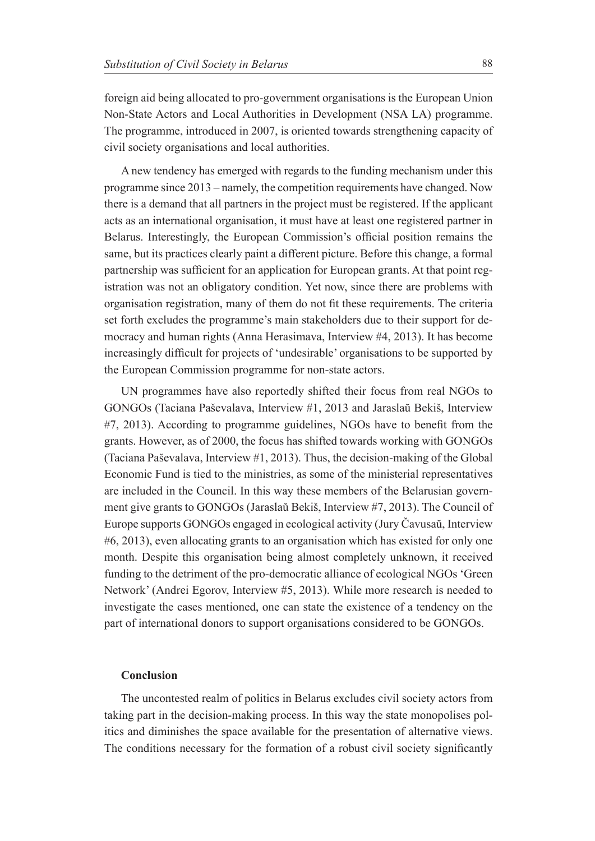foreign aid being allocated to pro-government organisations is the European Union Non-State Actors and Local Authorities in Development (NSA LA) programme. The programme, introduced in 2007, is oriented towards strengthening capacity of civil society organisations and local authorities.

A new tendency has emerged with regards to the funding mechanism under this programme since 2013 – namely, the competition requirements have changed. Now there is a demand that all partners in the project must be registered. If the applicant acts as an international organisation, it must have at least one registered partner in Belarus. Interestingly, the European Commission's official position remains the same, but its practices clearly paint a different picture. Before this change, a formal partnership was sufficient for an application for European grants. At that point registration was not an obligatory condition. Yet now, since there are problems with organisation registration, many of them do not fit these requirements. The criteria set forth excludes the programme's main stakeholders due to their support for democracy and human rights (Anna Herasimava, Interview #4, 2013). It has become increasingly difficult for projects of 'undesirable' organisations to be supported by the European Commission programme for non-state actors.

UN programmes have also reportedly shifted their focus from real NGOs to GONGOs (Taciana Paševalava, Interview #1, 2013 and Jaraslaŭ Bekiš, Interview  $#7$ , 2013). According to programme guidelines, NGOs have to benefit from the grants. However, as of 2000, the focus has shifted towards working with GONGOs (Taciana Paševalava, Interview #1, 2013). Thus, the decision-making of the Global Economic Fund is tied to the ministries, as some of the ministerial representatives are included in the Council. In this way these members of the Belarusian government give grants to GONGOs (Jaraslaŭ Bekiš, Interview #7, 2013). The Council of Europe supports GONGOs engaged in ecological activity (Jury Čavusaŭ, Interview #6, 2013), even allocating grants to an organisation which has existed for only one month. Despite this organisation being almost completely unknown, it received funding to the detriment of the pro-democratic alliance of ecological NGOs 'Green Network' (Andrei Egorov, Interview #5, 2013). While more research is needed to investigate the cases mentioned, one can state the existence of a tendency on the part of international donors to support organisations considered to be GONGOs.

#### **Conclusion**

The uncontested realm of politics in Belarus excludes civil society actors from taking part in the decision-making process. In this way the state monopolises politics and diminishes the space available for the presentation of alternative views. The conditions necessary for the formation of a robust civil society significantly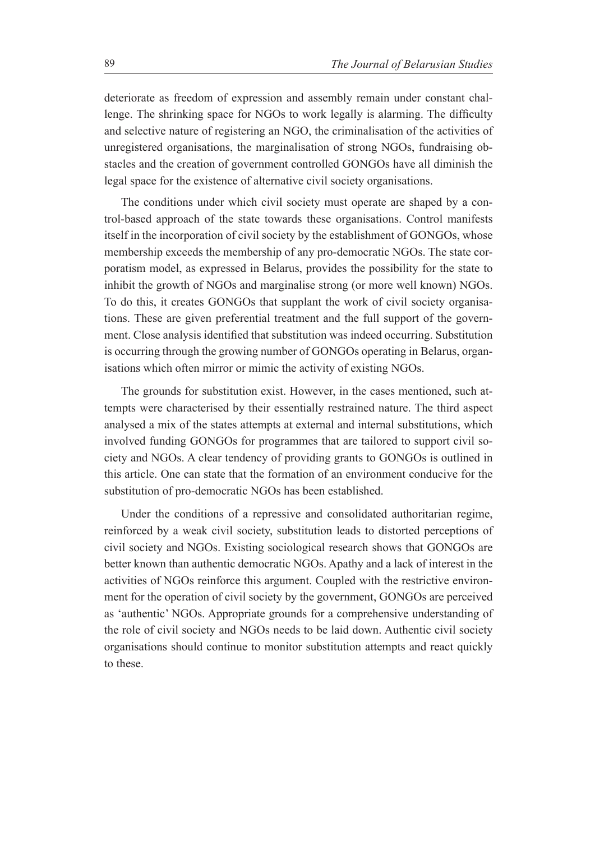deteriorate as freedom of expression and assembly remain under constant challenge. The shrinking space for NGOs to work legally is alarming. The difficulty and selective nature of registering an NGO, the criminalisation of the activities of unregistered organisations, the marginalisation of strong NGOs, fundraising obstacles and the creation of government controlled GONGOs have all diminish the legal space for the existence of alternative civil society organisations.

The conditions under which civil society must operate are shaped by a control-based approach of the state towards these organisations. Control manifests itself in the incorporation of civil society by the establishment of GONGOs, whose membership exceeds the membership of any pro-democratic NGOs. The state corporatism model, as expressed in Belarus, provides the possibility for the state to inhibit the growth of NGOs and marginalise strong (or more well known) NGOs. To do this, it creates GONGOs that supplant the work of civil society organisations. These are given preferential treatment and the full support of the government. Close analysis identified that substitution was indeed occurring. Substitution is occurring through the growing number of GONGOs operating in Belarus, organisations which often mirror or mimic the activity of existing NGOs.

The grounds for substitution exist. However, in the cases mentioned, such attempts were characterised by their essentially restrained nature. The third aspect analysed a mix of the states attempts at external and internal substitutions, which involved funding GONGOs for programmes that are tailored to support civil society and NGOs. A clear tendency of providing grants to GONGOs is outlined in this article. One can state that the formation of an environment conducive for the substitution of pro-democratic NGOs has been established.

Under the conditions of a repressive and consolidated authoritarian regime, reinforced by a weak civil society, substitution leads to distorted perceptions of civil society and NGOs. Existing sociological research shows that GONGOs are better known than authentic democratic NGOs. Apathy and a lack of interest in the activities of NGOs reinforce this argument. Coupled with the restrictive environment for the operation of civil society by the government, GONGOs are perceived as 'authentic' NGOs. Appropriate grounds for a comprehensive understanding of the role of civil society and NGOs needs to be laid down. Authentic civil society organisations should continue to monitor substitution attempts and react quickly to these.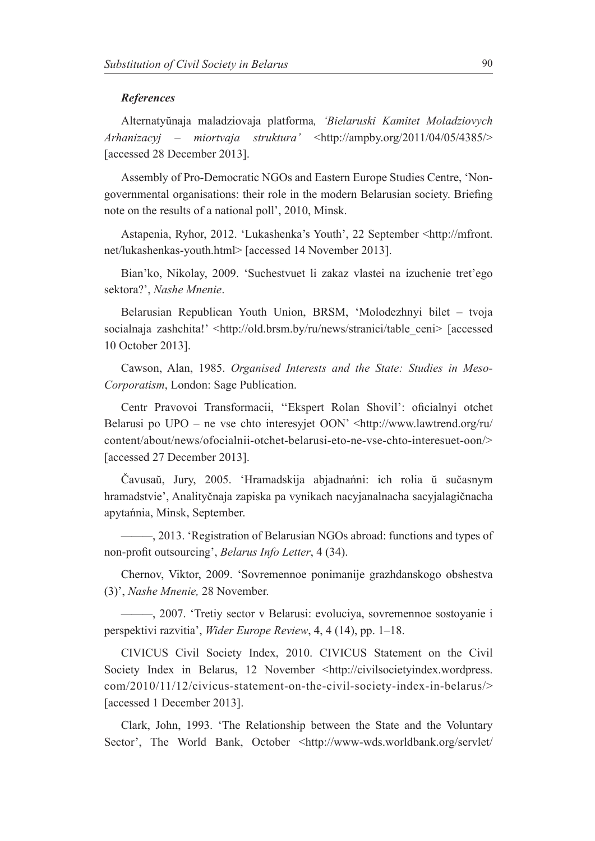#### *References*

Alternatyŭnaja maladziovaja platforma, 'Bielaruski Kamitet Moladziovych *\$UKDQL]DF\M ± PLRUWYDMD VWUXNWXUD¶* <http://ampby.org/2011/04/05/4385/> [accessed 28 December 2013].

Assembly of Pro-Democratic NGOs and Eastern Europe Studies Centre, 'Nongovernmental organisations: their role in the modern Belarusian society. Briefing note on the results of a national poll', 2010, Minsk.

Astapenia, Ryhor, 2012. 'Lukashenka's Youth', 22 September <http://mfront. net/lukashenkas-youth.html> [accessed 14 November 2013].

Bian'ko, Nikolay, 2009. 'Suchestvuet li zakaz vlastei na izuchenie tret'ego sektora?', *Nashe Mnenie*.

Belarusian Republican Youth Union, BRSM, 'Molodezhnyi bilet – tvoja socialnaja zashchita!' <http://old.brsm.by/ru/news/stranici/table\_ceni> [accessed] 10 October 2013].

Cawson, Alan, 1985. *Organised Interests and the State: Studies in Meso-Corporatism*, London: Sage Publication.

Centr Pravovoi Transformacii, "Ekspert Rolan Shovil': oficialnyi otchet Belarusi po UPO – ne vse chto interesyjet OON' <http://www.lawtrend.org/ru/ content/about/news/ofocialnii-otchet-belarusi-eto-ne-vse-chto-interesuet-oon/> [accessed 27 December 2013].

Čavusaŭ, Jury, 2005. 'Hramadskija abjadnańni: ich rolia ŭ sučasnym hramadstvie', Analityčnaja zapiska pa vynikach nacyjanalnacha sacyjalagičnacha apytańnia, Minsk, September.

*———*, 2013. 'Registration of Belarusian NGOs abroad: functions and types of non-profit outsourcing', *Belarus Info Letter*, 4 (34).

Chernov, Viktor, 2009. 'Sovremennoe ponimanije grazhdanskogo obshestva (3)', *Nashe Mnenie,* 28 November.

*———*, 2007. 'Tretiy sector v Belarusi: evoluciya, sovremennoe sostoyanie i perspektivi razvitia', *Wider Europe Review*, 4, 4 (14), pp. 1–18.

CIVICUS Civil Society Index, 2010. CIVICUS Statement on the Civil Society Index in Belarus, 12 November <http://civilsocietyindex.wordpress. com/2010/11/12/civicus-statement-on-the-civil-society-index-in-belarus/> [accessed 1 December 2013].

Clark, John, 1993. 'The Relationship between the State and the Voluntary Sector', The World Bank, October <http://www-wds.worldbank.org/servlet/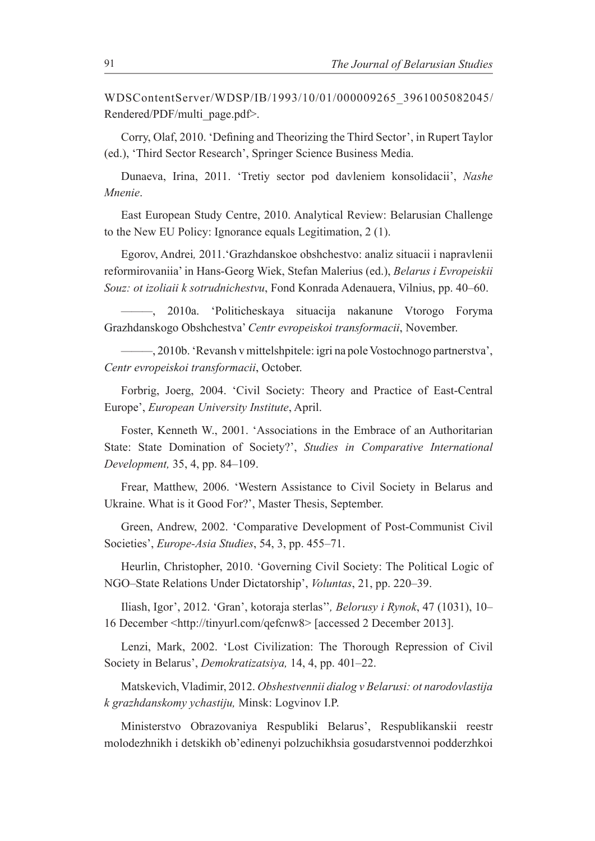WDSContentServer/WDSP/IB/1993/10/01/000009265\_3961005082045/ Rendered/PDF/multi\_page.pdf>.

Corry, Olaf, 2010. 'Defining and Theorizing the Third Sector', in Rupert Taylor (ed.), 'Third Sector Research', Springer Science Business Media.

Dunaeva, Irina, 2011. 'Tretiy sector pod davleniem konsolidacii', *Nashe Mnenie*.

East European Study Centre, 2010. Analytical Review: Belarusian Challenge to the New EU Policy: Ignorance equals Legitimation, 2 (1).

Egorov, Andrei*,* 2011.'Grazhdanskoe obshchestvo: analiz situacii i napravlenii reformirovaniia' in Hans-Georg Wiek, Stefan Malerius (ed.), *Belarus i Evropeiskii Souz: ot izoliaii k sotrudnichestvu*, Fond Konrada Adenauera, Vilnius, pp. 40–60.

*———*, 2010a. 'Politicheskaya situacija nakanune Vtorogo Foryma Grazhdanskogo Obshchestva' *Centr evropeiskoi transformacii*, November.

*———*, 2010b. 'Revansh v mittelshpitele: igri na pole Vostochnogo partnerstva', *Centr evropeiskoi transformacii*, October.

Forbrig, Joerg, 2004. 'Civil Society: Theory and Practice of East-Central Europe', *European University Institute*, April.

Foster, Kenneth W., 2001. 'Associations in the Embrace of an Authoritarian State: State Domination of Society?', *Studies in Comparative International Development,* 35, 4, pp. 84–109.

Frear, Matthew, 2006. 'Western Assistance to Civil Society in Belarus and Ukraine. What is it Good For?', Master Thesis, September.

Green, Andrew, 2002. 'Comparative Development of Post-Communist Civil Societies', *Europe-Asia Studies*, 54, 3, pp. 455–71.

Heurlin, Christopher, 2010. 'Governing Civil Society: The Political Logic of NGO–State Relations Under Dictatorship', *Voluntas*, 21, pp. 220–39.

Iliash, Igor', 2012. 'Gran', kotoraja sterlas''*, Belorusy i Rynok*, 47 (1031), 10– 16 December <http://tinyurl.com/qefcnw8> [accessed 2 December 2013].

Lenzi, Mark, 2002. 'Lost Civilization: The Thorough Repression of Civil Society in Belarus', *Demokratizatsiya,* 14, 4, pp. 401–22.

Matskevich, Vladimir, 2012. *Obshestvennii dialog v Belarusi: ot narodovlastija k grazhdanskomy ychastiju,* Minsk: Logvinov I.P.

Ministerstvo Obrazovaniya Respubliki Belarus', Respublikanskii reestr molodezhnikh i detskikh ob'edinenyi polzuchikhsia gosudarstvennoi podderzhkoi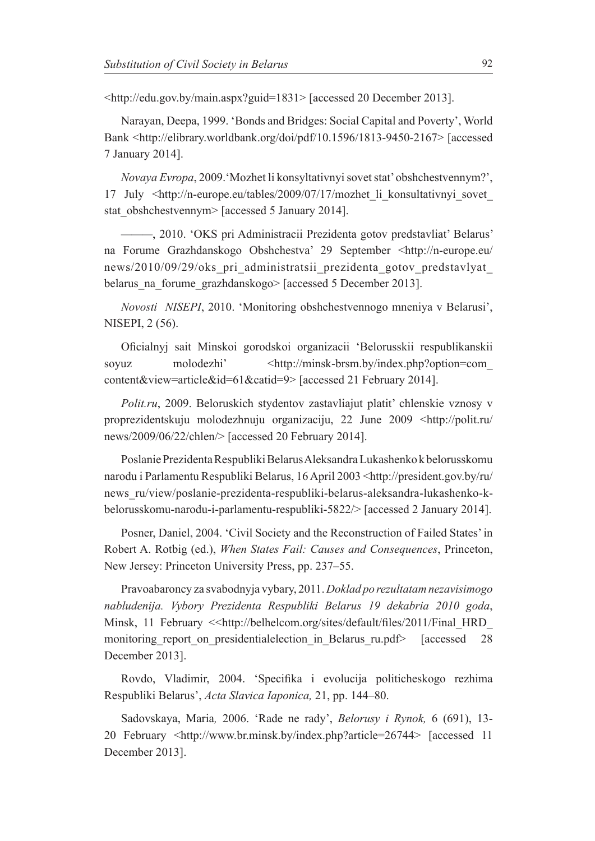<http://edu.gov.by/main.aspx?guid=1831> [accessed 20 December 2013].

Narayan, Deepa, 1999. 'Bonds and Bridges: Social Capital and Poverty', World Bank <http://elibrary.worldbank.org/doi/pdf/10.1596/1813-9450-2167> [accessed 7 January 2014].

*Novaya Evropa*, 2009.'Mozhet li konsyltativnyi sovet stat' obshchestvennym?', 17 July <http://n-europe.eu/tables/2009/07/17/mozhet\_li\_konsultativnyi\_sovet\_ stat\_obshchestvennym> [accessed 5 January 2014].

*———*, 2010. 'OKS pri Administracii Prezidenta gotov predstavliat' Belarus' na Forume Grazhdanskogo Obshchestva' 29 September <http://n-europe.eu/ news/2010/09/29/oks pri\_administratsii\_prezidenta\_gotov\_predstavlyat belarus na forume grazhdanskogo> [accessed 5 December 2013].

*Novosti NISEPI*, 2010. 'Monitoring obshchestvennogo mneniya v Belarusi', NISEPI, 2 (56).

Oficialnyj sait Minskoi gorodskoi organizacii 'Belorusskii respublikanskii soyuz molodezhi' <http://minsk-brsm.by/index.php?option=com\_ content&view=article&id=61&catid=9> [accessed 21 February 2014].

*Polit.ru*, 2009. Beloruskich stydentov zastavliajut platit' chlenskie vznosy v proprezidentskuju molodezhnuju organizaciju, 22 June 2009 <http://polit.ru/ news/2009/06/22/chlen/> [accessed 20 February 2014].

Poslanie Prezidenta Respubliki Belarus Aleksandra Lukashenko k belorusskomu narodu i Parlamentu Respubliki Belarus, 16 April 2003 <http://president.gov.by/ru/ news\_ru/view/poslanie-prezidenta-respubliki-belarus-aleksandra-lukashenko-kbelorusskomu-narodu-i-parlamentu-respubliki-5822/> [accessed 2 January 2014].

Posner, Daniel, 2004. 'Civil Society and the Reconstruction of Failed States' in Robert A. Rotbig (ed.), *When States Fail: Causes and Consequences*, Princeton, New Jersey: Princeton University Press, pp. 237–55.

Pravoabaroncy za svabodnyja vybary, 2011. *Doklad po rezultatam nezavisimogo*  nabludenija. Vybory Prezidenta Respubliki Belarus 19 dekabria 2010 goda, Minsk, 11 February <<http://belhelcom.org/sites/default/files/2011/Final HRD monitoring report on presidential election in Belarus ru.pdf> [accessed 28 December 2013].

Rovdo, Vladimir, 2004. 'Specifika i evolucija politicheskogo rezhima Respubliki Belarus', *Acta Slavica Iaponica,* 21, pp. 144–80.

Sadovskaya, Maria*,* 2006. 'Rade ne rady', *Belorusy i Rynok,* 6 (691), 13- 20 February <http://www.br.minsk.by/index.php?article=26744> [accessed 11 December 2013].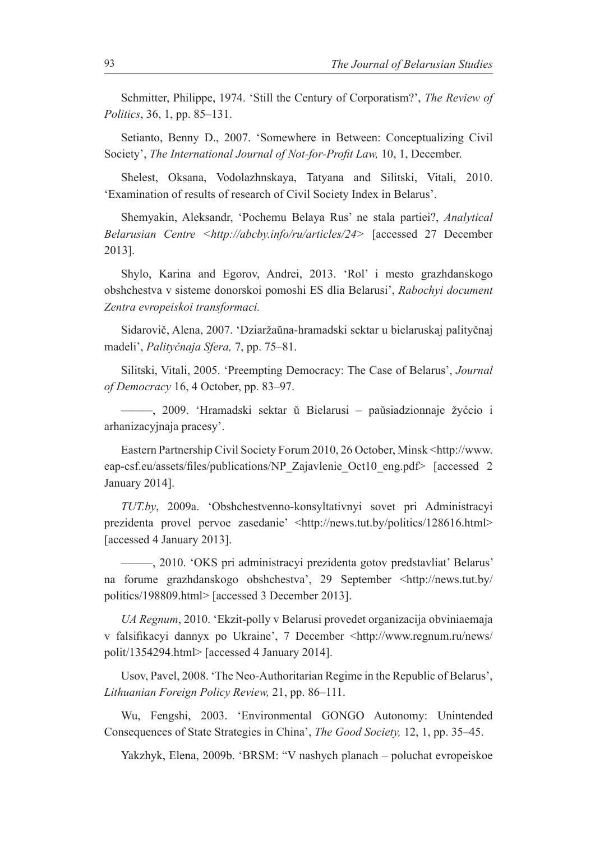Schmitter, Philippe, 1974. 'Still the Century of Corporatism?', *The Review of Politics*, 36, 1, pp. 85–131.

Setianto, Benny D., 2007. 'Somewhere in Between: Conceptualizing Civil Society', *The International Journal of Not-for-Profit Law*, 10, 1, December.

Shelest, Oksana, Vodolazhnskaya, Tatyana and Silitski, Vitali, 2010. 'Examination of results of research of Civil Society Index in Belarus'.

Shemyakin, Aleksandr, 'Pochemu Belaya Rus' ne stala partiei?, *Analytical Belarusian Centre <http://abcby.info/ru/articles/24>* [accessed 27 December 2013].

Shylo, Karina and Egorov, Andrei, 2013. 'Rol' i mesto grazhdanskogo obshchestva v sisteme donorskoi pomoshi ES dlia Belarusi', *Rabochyi document*  Zentra evropeiskoi transformaci.

Sidarovič, Alena, 2007. 'Dziaržaŭna-hramadski sektar u bielaruskaj palityčnaj madeli', *Palityčnaja Sfera*, 7, pp. 75–81.

Silitski, Vitali, 2005. 'Preempting Democracy: The Case of Belarus', *Journal of Democracy* 16, 4 October, pp. 83–97.

**———**, 2009. 'Hramadski sektar ŭ Bielarusi – paŭsiadzionnaje žyćcio i arhanizacyjnaja pracesy'.

Eastern Partnership Civil Society Forum 2010, 26 October, Minsk <http://www. eap-csf.eu/assets/files/publications/NP Zajavlenie Oct10 eng.pdf> [accessed 2 January 2014].

*TUT.by*, 2009a. 'Obshchestvenno-konsyltativnyi sovet pri Administracyi prezidenta provel pervoe zasedanie' <http://news.tut.by/politics/128616.html> [accessed 4 January 2013].

*———*, 2010. 'OKS pri administracyi prezidenta gotov predstavliat' Belarus' na forume grazhdanskogo obshchestva', 29 September <http://news.tut.by/ politics/198809.html> [accessed 3 December 2013].

*UA Regnum*, 2010. 'Ekzit-polly v Belarusi provedet organizacija obviniaemaja v falsifikacyi dannyx po Ukraine', 7 December <http://www.regnum.ru/news/ polit/1354294.html> [accessed 4 January 2014].

Usov, Pavel, 2008. 'The Neo-Authoritarian Regime in the Republic of Belarus', *Lithuanian Foreign Policy Review,* 21, pp. 86–111.

Wu, Fengshi, 2003. 'Environmental GONGO Autonomy: Unintended Consequences of State Strategies in China', *The Good Society,* 12, 1, pp. 35–45.

Yakzhyk, Elena, 2009b. 'BRSM: "V nashych planach – poluchat evropeiskoe